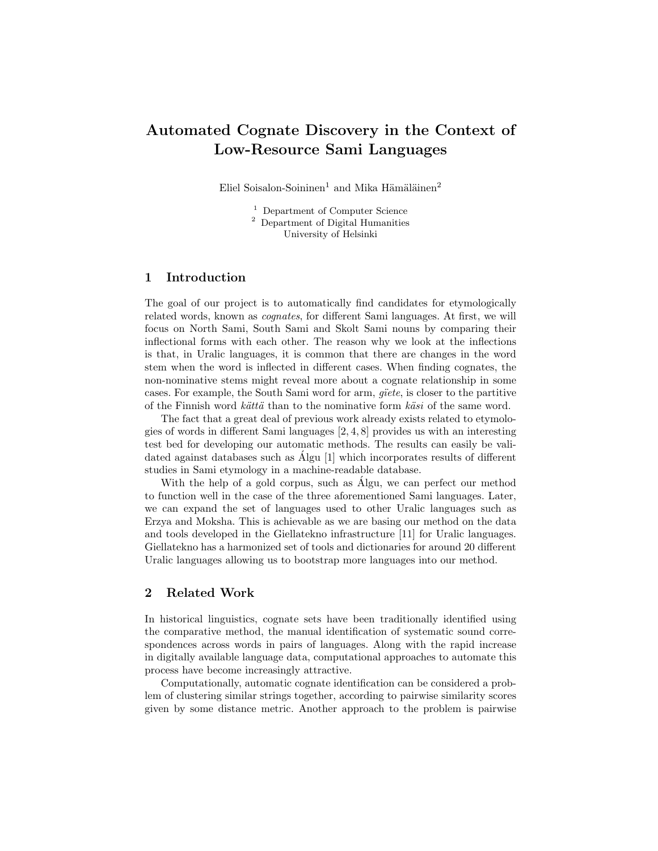# Automated Cognate Discovery in the Context of Low-Resource Sami Languages

Eliel Soisalon-Soininen<sup>1</sup> and Mika Hämäläinen<sup>2</sup>

<sup>1</sup> Department of Computer Science <sup>2</sup> Department of Digital Humanities University of Helsinki

#### 1 Introduction

The goal of our project is to automatically find candidates for etymologically related words, known as *cognates*, for different Sami languages. At first, we will focus on North Sami, South Sami and Skolt Sami nouns by comparing their inflectional forms with each other. The reason why we look at the inflections is that, in Uralic languages, it is common that there are changes in the word stem when the word is inflected in different cases. When finding cognates, the non-nominative stems might reveal more about a cognate relationship in some cases. For example, the South Sami word for arm, *g¨ıete*, is closer to the partitive of the Finnish word *k¨att¨a* than to the nominative form *k¨asi* of the same word.

The fact that a great deal of previous work already exists related to etymologies of words in different Sami languages  $[2, 4, 8]$  provides us with an interesting test bed for developing our automatic methods. The results can easily be validated against databases such as Algu  $[1]$  which incorporates results of different studies in Sami etymology in a machine-readable database.

With the help of a gold corpus, such as Algu, we can perfect our method to function well in the case of the three aforementioned Sami languages. Later, we can expand the set of languages used to other Uralic languages such as Erzya and Moksha. This is achievable as we are basing our method on the data and tools developed in the Giellatekno infrastructure [11] for Uralic languages. Giellatekno has a harmonized set of tools and dictionaries for around 20 different Uralic languages allowing us to bootstrap more languages into our method.

### 2 Related Work

In historical linguistics, cognate sets have been traditionally identified using the comparative method, the manual identification of systematic sound correspondences across words in pairs of languages. Along with the rapid increase in digitally available language data, computational approaches to automate this process have become increasingly attractive.

Computationally, automatic cognate identification can be considered a problem of clustering similar strings together, according to pairwise similarity scores given by some distance metric. Another approach to the problem is pairwise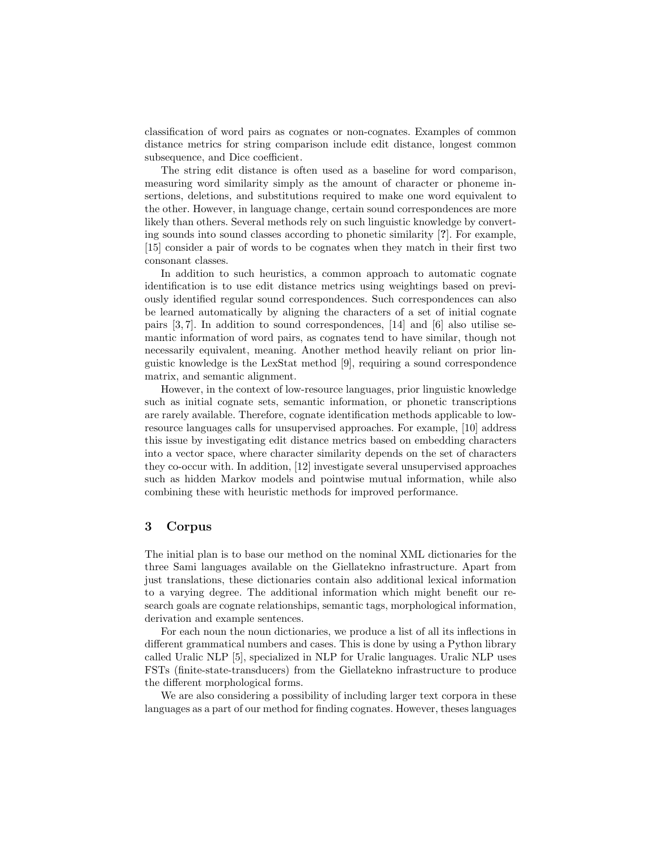classification of word pairs as cognates or non-cognates. Examples of common distance metrics for string comparison include edit distance, longest common subsequence, and Dice coefficient.

The string edit distance is often used as a baseline for word comparison, measuring word similarity simply as the amount of character or phoneme insertions, deletions, and substitutions required to make one word equivalent to the other. However, in language change, certain sound correspondences are more likely than others. Several methods rely on such linguistic knowledge by converting sounds into sound classes according to phonetic similarity [?]. For example, [15] consider a pair of words to be cognates when they match in their first two consonant classes.

In addition to such heuristics, a common approach to automatic cognate identification is to use edit distance metrics using weightings based on previously identified regular sound correspondences. Such correspondences can also be learned automatically by aligning the characters of a set of initial cognate pairs [3, 7]. In addition to sound correspondences, [14] and [6] also utilise semantic information of word pairs, as cognates tend to have similar, though not necessarily equivalent, meaning. Another method heavily reliant on prior linguistic knowledge is the LexStat method [9], requiring a sound correspondence matrix, and semantic alignment.

However, in the context of low-resource languages, prior linguistic knowledge such as initial cognate sets, semantic information, or phonetic transcriptions are rarely available. Therefore, cognate identification methods applicable to lowresource languages calls for unsupervised approaches. For example, [10] address this issue by investigating edit distance metrics based on embedding characters into a vector space, where character similarity depends on the set of characters they co-occur with. In addition, [12] investigate several unsupervised approaches such as hidden Markov models and pointwise mutual information, while also combining these with heuristic methods for improved performance.

#### 3 Corpus

The initial plan is to base our method on the nominal XML dictionaries for the three Sami languages available on the Giellatekno infrastructure. Apart from just translations, these dictionaries contain also additional lexical information to a varying degree. The additional information which might benefit our research goals are cognate relationships, semantic tags, morphological information, derivation and example sentences.

For each noun the noun dictionaries, we produce a list of all its inflections in different grammatical numbers and cases. This is done by using a Python library called Uralic NLP [5], specialized in NLP for Uralic languages. Uralic NLP uses FSTs (finite-state-transducers) from the Giellatekno infrastructure to produce the different morphological forms.

We are also considering a possibility of including larger text corpora in these languages as a part of our method for finding cognates. However, theses languages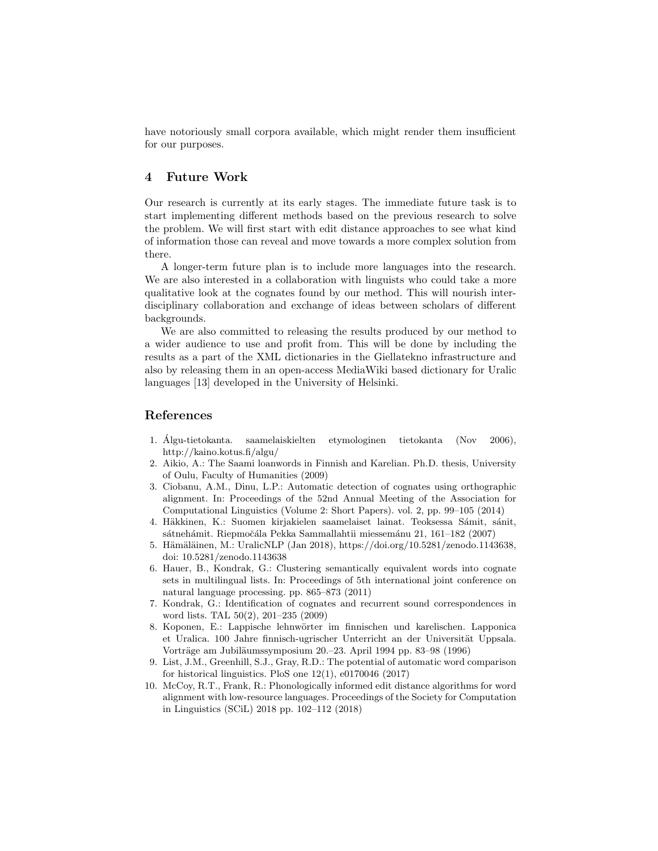have notoriously small corpora available, which might render them insufficient for our purposes.

## 4 Future Work

Our research is currently at its early stages. The immediate future task is to start implementing different methods based on the previous research to solve the problem. We will first start with edit distance approaches to see what kind of information those can reveal and move towards a more complex solution from there.

A longer-term future plan is to include more languages into the research. We are also interested in a collaboration with linguists who could take a more qualitative look at the cognates found by our method. This will nourish interdisciplinary collaboration and exchange of ideas between scholars of different backgrounds.

We are also committed to releasing the results produced by our method to a wider audience to use and profit from. This will be done by including the results as a part of the XML dictionaries in the Giellatekno infrastructure and also by releasing them in an open-access MediaWiki based dictionary for Uralic languages [13] developed in the University of Helsinki.

#### References

- 1. Algu-tietokanta. saamelaiskielten etymologinen tietokanta (Nov 2006), ´ http://kaino.kotus.fi/algu/
- 2. Aikio, A.: The Saami loanwords in Finnish and Karelian. Ph.D. thesis, University of Oulu, Faculty of Humanities (2009)
- 3. Ciobanu, A.M., Dinu, L.P.: Automatic detection of cognates using orthographic alignment. In: Proceedings of the 52nd Annual Meeting of the Association for Computational Linguistics (Volume 2: Short Papers). vol. 2, pp. 99–105 (2014)
- 4. Häkkinen, K.: Suomen kirjakielen saamelaiset lainat. Teoksessa Sámit, sánit, sátnehámit. Riepmočála Pekka Sammallahtii miessemánu 21, 161–182 (2007)
- 5. Hämäläinen, M.: UralicNLP (Jan 2018), https://doi.org/10.5281/zenodo.1143638, doi: 10.5281/zenodo.1143638
- 6. Hauer, B., Kondrak, G.: Clustering semantically equivalent words into cognate sets in multilingual lists. In: Proceedings of 5th international joint conference on natural language processing. pp. 865–873 (2011)
- 7. Kondrak, G.: Identification of cognates and recurrent sound correspondences in word lists. TAL 50(2), 201–235 (2009)
- 8. Koponen, E.: Lappische lehnwörter im finnischen und karelischen. Lapponica et Uralica. 100 Jahre finnisch-ugrischer Unterricht an der Universität Uppsala. Vorträge am Jubiläumssymposium 20.–23. April 1994 pp. 83–98 (1996)
- 9. List, J.M., Greenhill, S.J., Gray, R.D.: The potential of automatic word comparison for historical linguistics. PloS one  $12(1)$ , e0170046 (2017)
- 10. McCoy, R.T., Frank, R.: Phonologically informed edit distance algorithms for word alignment with low-resource languages. Proceedings of the Society for Computation in Linguistics (SCiL) 2018 pp. 102–112 (2018)